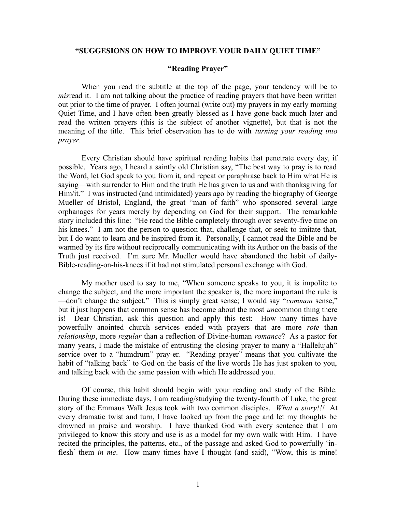## **"SUGGESIONS ON HOW TO IMPROVE YOUR DAILY QUIET TIME"**

## **"Reading Prayer"**

When you read the subtitle at the top of the page, your tendency will be to *mis*read it. I am not talking about the practice of reading prayers that have been written out prior to the time of prayer. I often journal (write out) my prayers in my early morning Quiet Time, and I have often been greatly blessed as I have gone back much later and read the written prayers (this is the subject of another vignette), but that is not the meaning of the title. This brief observation has to do with *turning your reading into prayer*.

Every Christian should have spiritual reading habits that penetrate every day, if possible. Years ago, I heard a saintly old Christian say, "The best way to pray is to read the Word, let God speak to you from it, and repeat or paraphrase back to Him what He is saying—with surrender to Him and the truth He has given to us and with thanksgiving for Him/it." I was instructed (and intimidated) years ago by reading the biography of George Mueller of Bristol, England, the great "man of faith" who sponsored several large orphanages for years merely by depending on God for their support. The remarkable story included this line: "He read the Bible completely through over seventy-five time on his knees." I am not the person to question that, challenge that, or seek to imitate that, but I do want to learn and be inspired from it. Personally, I cannot read the Bible and be warmed by its fire without reciprocally communicating with its Author on the basis of the Truth just received. I'm sure Mr. Mueller would have abandoned the habit of daily-Bible-reading-on-his-knees if it had not stimulated personal exchange with God.

My mother used to say to me, "When someone speaks to you, it is impolite to change the subject, and the more important the speaker is, the more important the rule is —don't change the subject." This is simply great sense; I would say "*common* sense," but it just happens that common sense has become about the most *un*common thing there is! Dear Christian, ask this question and apply this test: How many times have powerfully anointed church services ended with prayers that are more *rote* than *relationship*, more *regular* than a reflection of Divine-human *romance*? As a pastor for many years, I made the mistake of entrusting the closing prayer to many a "Hallelujah" service over to a "humdrum" pray-er. "Reading prayer" means that you cultivate the habit of "talking back" to God on the basis of the live words He has just spoken to you, and talking back with the same passion with which He addressed you.

Of course, this habit should begin with your reading and study of the Bible. During these immediate days, I am reading/studying the twenty-fourth of Luke, the great story of the Emmaus Walk Jesus took with two common disciples. *What a story!!!* At every dramatic twist and turn, I have looked up from the page and let my thoughts be drowned in praise and worship. I have thanked God with every sentence that I am privileged to know this story and use is as a model for my own walk with Him. I have recited the principles, the patterns, etc., of the passage and asked God to powerfully 'inflesh' them *in me*. How many times have I thought (and said), "Wow, this is mine!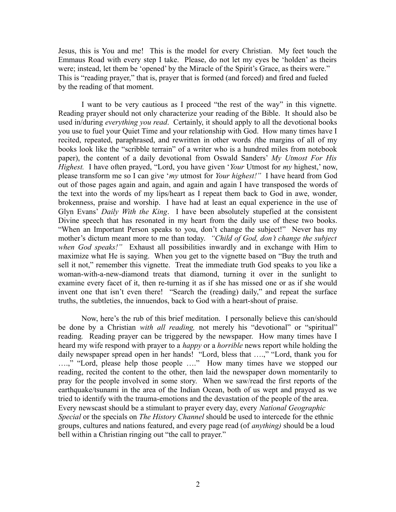Jesus, this is You and me! This is the model for every Christian. My feet touch the Emmaus Road with every step I take. Please, do not let my eyes be 'holden' as theirs were; instead, let them be 'opened' by the Miracle of the Spirit's Grace, as theirs were." This is "reading prayer," that is, prayer that is formed (and forced) and fired and fueled by the reading of that moment.

I want to be very cautious as I proceed "the rest of the way" in this vignette. Reading prayer should not only characterize your reading of the Bible. It should also be used in/during *everything you read*. Certainly, it should apply to all the devotional books you use to fuel your Quiet Time and your relationship with God. How many times have I recited, repeated, paraphrased, and rewritten in other words *(*the margins of all of my books look like the "scribble terrain" of a writer who is a hundred miles from notebook paper), the content of a daily devotional from Oswald Sanders' *My Utmost For His Highest.* I have often prayed, "Lord, you have given '*Your* Utmost for *my* highest,' now, please transform me so I can give '*my* utmost for *Your highest!"* I have heard from God out of those pages again and again, and again and again I have transposed the words of the text into the words of my lips/heart as I repeat them back to God in awe, wonder, brokenness, praise and worship. I have had at least an equal experience in the use of Glyn Evans' *Daily With the King*. I have been absolutely stupefied at the consistent Divine speech that has resonated in my heart from the daily use of these two books. "When an Important Person speaks to you, don't change the subject!" Never has my mother's dictum meant more to me than today. *"Child of God, don't change the subject when God speaks!"* Exhaust all possibilities inwardly and in exchange with Him to maximize what He is saying. When you get to the vignette based on "Buy the truth and sell it not," remember this vignette. Treat the immediate truth God speaks to you like a woman-with-a-new-diamond treats that diamond, turning it over in the sunlight to examine every facet of it, then re-turning it as if she has missed one or as if she would invent one that isn't even there! "Search the (reading) daily," and repeat the surface truths, the subtleties, the innuendos, back to God with a heart-shout of praise.

Now, here's the rub of this brief meditation. I personally believe this can/should be done by a Christian *with all reading,* not merely his "devotional" or "spiritual" reading*.* Reading prayer can be triggered by the newspaper. How many times have I heard my wife respond with prayer to a *happy* or a *horrible* news report while holding the daily newspaper spread open in her hands! "Lord, bless that ….," "Lord, thank you for ….," "Lord, please help those people …." How many times have we stopped our reading, recited the content to the other, then laid the newspaper down momentarily to pray for the people involved in some story. When we saw/read the first reports of the earthquake/tsunami in the area of the Indian Ocean, both of us wept and prayed as we tried to identify with the trauma-emotions and the devastation of the people of the area. Every newscast should be a stimulant to prayer every day, every *National Geographic Special* or the specials on *The History Channel* should be used to intercede for the ethnic groups, cultures and nations featured, and every page read (of *anything)* should be a loud bell within a Christian ringing out "the call to prayer."